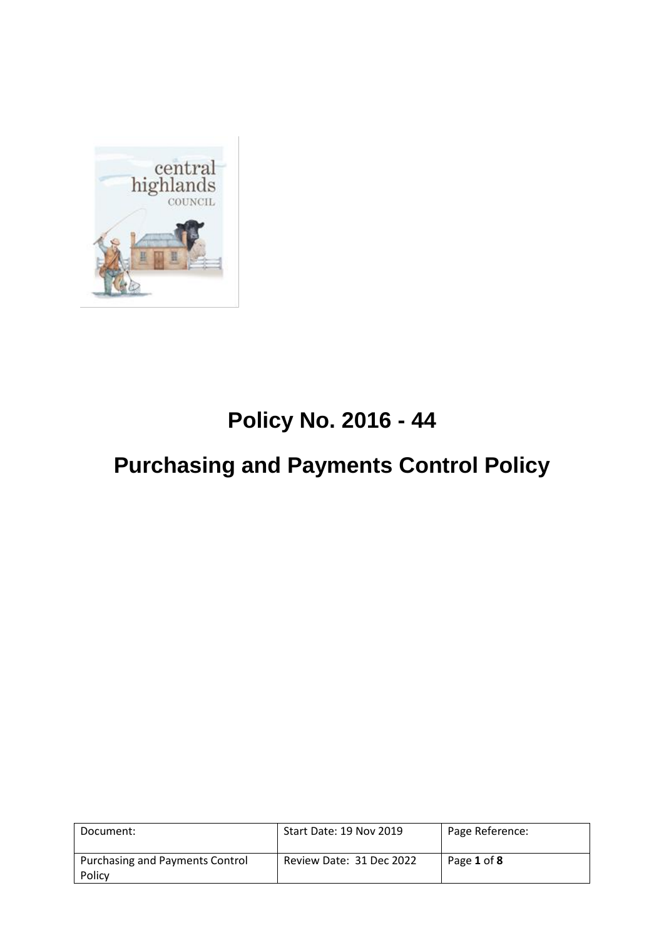

## **Policy No. 2016 - 44**

# **Purchasing and Payments Control Policy**

| Document:                                        | Start Date: 19 Nov 2019  | Page Reference: |
|--------------------------------------------------|--------------------------|-----------------|
| <b>Purchasing and Payments Control</b><br>Policy | Review Date: 31 Dec 2022 | Page 1 of 8     |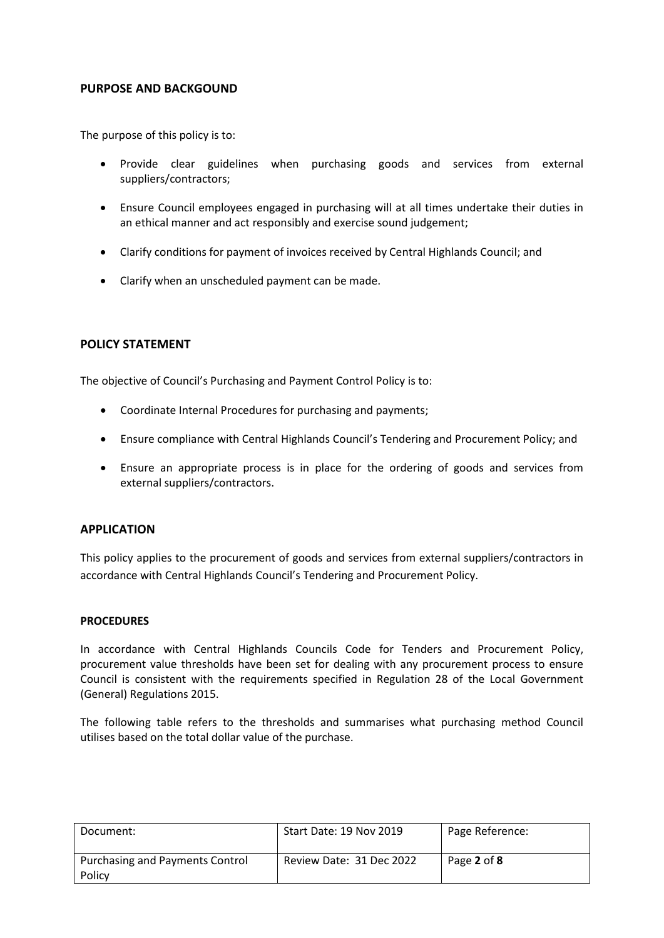#### **PURPOSE AND BACKGOUND**

The purpose of this policy is to:

- Provide clear guidelines when purchasing goods and services from external suppliers/contractors;
- Ensure Council employees engaged in purchasing will at all times undertake their duties in an ethical manner and act responsibly and exercise sound judgement;
- Clarify conditions for payment of invoices received by Central Highlands Council; and
- Clarify when an unscheduled payment can be made.

#### **POLICY STATEMENT**

The objective of Council's Purchasing and Payment Control Policy is to:

- Coordinate Internal Procedures for purchasing and payments;
- Ensure compliance with Central Highlands Council's Tendering and Procurement Policy; and
- Ensure an appropriate process is in place for the ordering of goods and services from external suppliers/contractors.

#### **APPLICATION**

This policy applies to the procurement of goods and services from external suppliers/contractors in accordance with Central Highlands Council's Tendering and Procurement Policy.

#### **PROCEDURES**

In accordance with Central Highlands Councils Code for Tenders and Procurement Policy, procurement value thresholds have been set for dealing with any procurement process to ensure Council is consistent with the requirements specified in Regulation 28 of the Local Government (General) Regulations 2015.

The following table refers to the thresholds and summarises what purchasing method Council utilises based on the total dollar value of the purchase.

| Document:                                 | Start Date: 19 Nov 2019  | Page Reference: |
|-------------------------------------------|--------------------------|-----------------|
| Purchasing and Payments Control<br>Policy | Review Date: 31 Dec 2022 | Page 2 of 8     |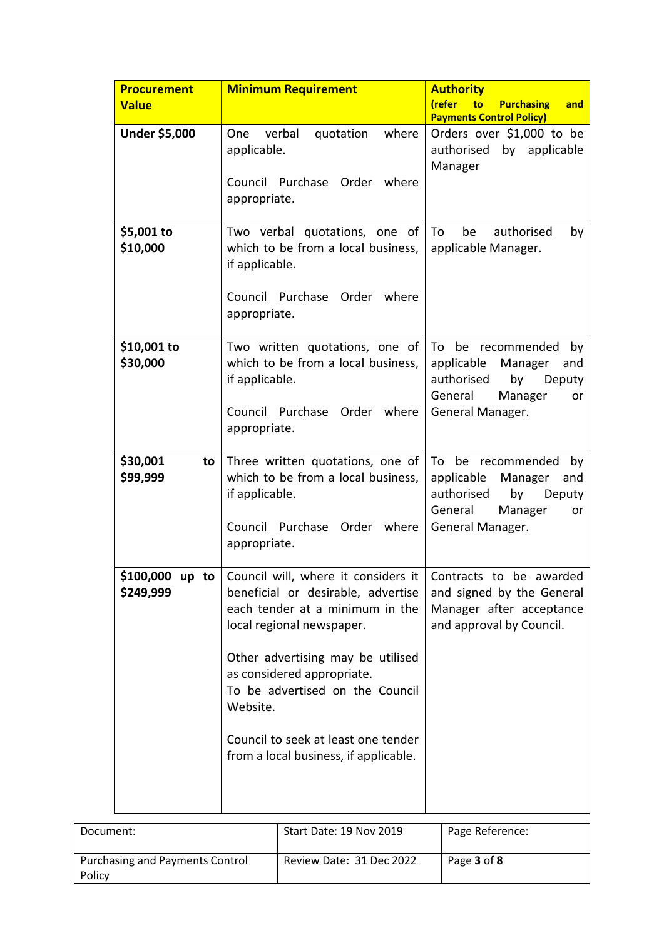| <b>Procurement</b><br><b>Value</b> | <b>Minimum Requirement</b>                                                                                                                                                        | <b>Authority</b><br>(refer<br>to<br><b>Purchasing</b><br>and                                                      |
|------------------------------------|-----------------------------------------------------------------------------------------------------------------------------------------------------------------------------------|-------------------------------------------------------------------------------------------------------------------|
|                                    |                                                                                                                                                                                   | <b>Payments Control Policy)</b>                                                                                   |
| Under \$5,000                      | verbal<br>where<br>One<br>quotation<br>applicable.                                                                                                                                | Orders over \$1,000 to be<br>authorised<br>by applicable<br>Manager                                               |
|                                    | Council Purchase Order<br>where<br>appropriate.                                                                                                                                   |                                                                                                                   |
| \$5,001 to<br>\$10,000             | Two verbal quotations, one of<br>which to be from a local business,<br>if applicable.                                                                                             | To<br>be<br>authorised<br>by<br>applicable Manager.                                                               |
|                                    | Council Purchase Order where<br>appropriate.                                                                                                                                      |                                                                                                                   |
| \$10,001 to<br>\$30,000            | Two written quotations, one of<br>which to be from a local business,<br>if applicable.                                                                                            | To be recommended<br>by<br>applicable<br>Manager<br>and<br>authorised<br>by<br>Deputy<br>General<br>Manager<br>or |
|                                    | Council Purchase Order where<br>appropriate.                                                                                                                                      | General Manager.                                                                                                  |
| \$30,001<br>to<br>\$99,999         | Three written quotations, one of<br>which to be from a local business,<br>if applicable.                                                                                          | To be recommended<br>by<br>applicable<br>Manager<br>and<br>authorised<br>by<br>Deputy<br>General<br>Manager<br>or |
|                                    | Council Purchase Order where<br>appropriate.                                                                                                                                      | General Manager.                                                                                                  |
| \$249,999                          | \$100,000 up to Council will, where it considers it Contracts to be awarded<br>beneficial or desirable, advertise<br>each tender at a minimum in the<br>local regional newspaper. | and signed by the General<br>Manager after acceptance<br>and approval by Council.                                 |
|                                    | Other advertising may be utilised<br>as considered appropriate.<br>To be advertised on the Council<br>Website.                                                                    |                                                                                                                   |
|                                    | Council to seek at least one tender<br>from a local business, if applicable.                                                                                                      |                                                                                                                   |

| Document:                                        | Start Date: 19 Nov 2019  | Page Reference: |
|--------------------------------------------------|--------------------------|-----------------|
| <b>Purchasing and Payments Control</b><br>Policy | Review Date: 31 Dec 2022 | Page 3 of 8     |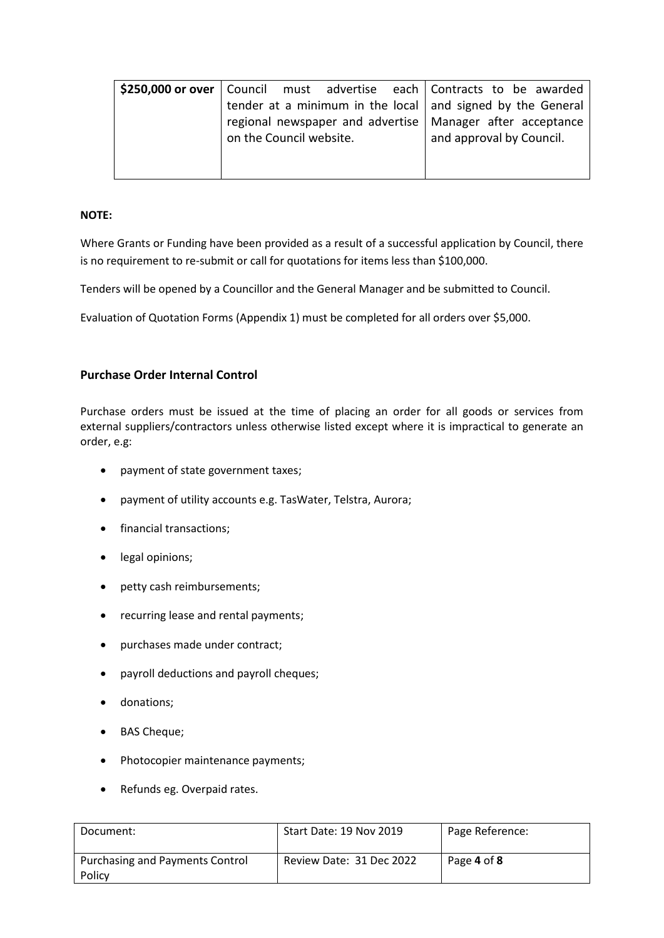|                         |  | \$250,000 or over   Council must advertise each   Contracts to be awarded |
|-------------------------|--|---------------------------------------------------------------------------|
|                         |  | tender at a minimum in the local $\vert$ and signed by the General        |
|                         |  | regional newspaper and advertise   Manager after acceptance               |
| on the Council website. |  | and approval by Council.                                                  |
|                         |  |                                                                           |
|                         |  |                                                                           |

#### **NOTE:**

Where Grants or Funding have been provided as a result of a successful application by Council, there is no requirement to re-submit or call for quotations for items less than \$100,000.

Tenders will be opened by a Councillor and the General Manager and be submitted to Council.

Evaluation of Quotation Forms (Appendix 1) must be completed for all orders over \$5,000.

### **Purchase Order Internal Control**

Purchase orders must be issued at the time of placing an order for all goods or services from external suppliers/contractors unless otherwise listed except where it is impractical to generate an order, e.g:

- payment of state government taxes;
- payment of utility accounts e.g. TasWater, Telstra, Aurora;
- financial transactions;
- legal opinions;
- petty cash reimbursements;
- recurring lease and rental payments;
- purchases made under contract;
- payroll deductions and payroll cheques;
- donations;
- BAS Cheque;
- Photocopier maintenance payments;
- Refunds eg. Overpaid rates.

| Document:                                        | Start Date: 19 Nov 2019  | Page Reference: |
|--------------------------------------------------|--------------------------|-----------------|
| <b>Purchasing and Payments Control</b><br>Policy | Review Date: 31 Dec 2022 | Page 4 of 8     |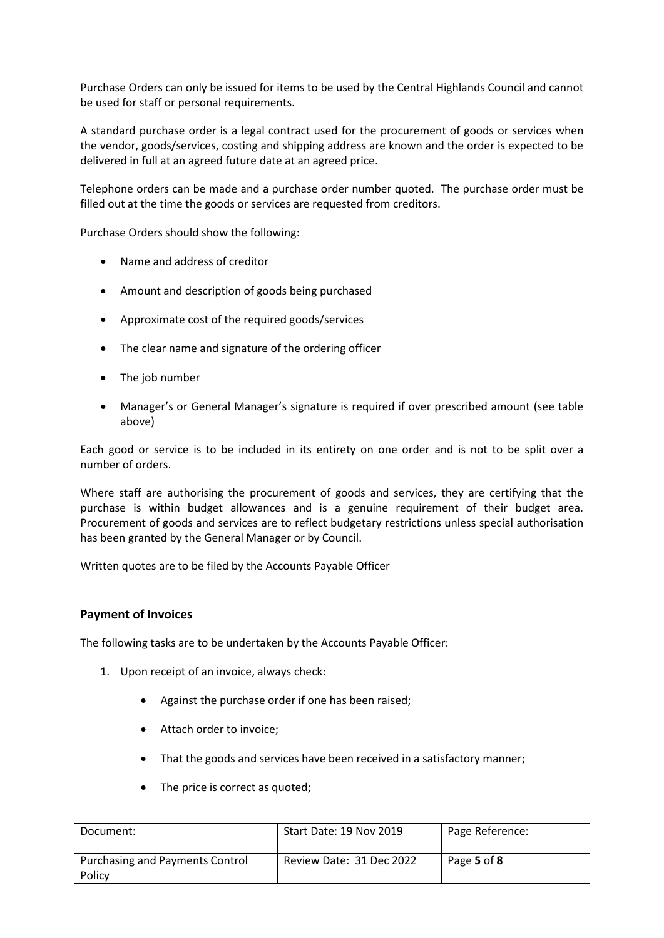Purchase Orders can only be issued for items to be used by the Central Highlands Council and cannot be used for staff or personal requirements.

A standard purchase order is a legal contract used for the procurement of goods or services when the vendor, goods/services, costing and shipping address are known and the order is expected to be delivered in full at an agreed future date at an agreed price.

Telephone orders can be made and a purchase order number quoted. The purchase order must be filled out at the time the goods or services are requested from creditors.

Purchase Orders should show the following:

- Name and address of creditor
- Amount and description of goods being purchased
- Approximate cost of the required goods/services
- The clear name and signature of the ordering officer
- The job number
- Manager's or General Manager's signature is required if over prescribed amount (see table above)

Each good or service is to be included in its entirety on one order and is not to be split over a number of orders.

Where staff are authorising the procurement of goods and services, they are certifying that the purchase is within budget allowances and is a genuine requirement of their budget area. Procurement of goods and services are to reflect budgetary restrictions unless special authorisation has been granted by the General Manager or by Council.

Written quotes are to be filed by the Accounts Payable Officer

#### **Payment of Invoices**

The following tasks are to be undertaken by the Accounts Payable Officer:

- 1. Upon receipt of an invoice, always check:
	- Against the purchase order if one has been raised;
	- Attach order to invoice:
	- That the goods and services have been received in a satisfactory manner;
	- The price is correct as quoted;

| Document:                                 | Start Date: 19 Nov 2019  | Page Reference: |
|-------------------------------------------|--------------------------|-----------------|
| Purchasing and Payments Control<br>Policy | Review Date: 31 Dec 2022 | Page 5 of 8     |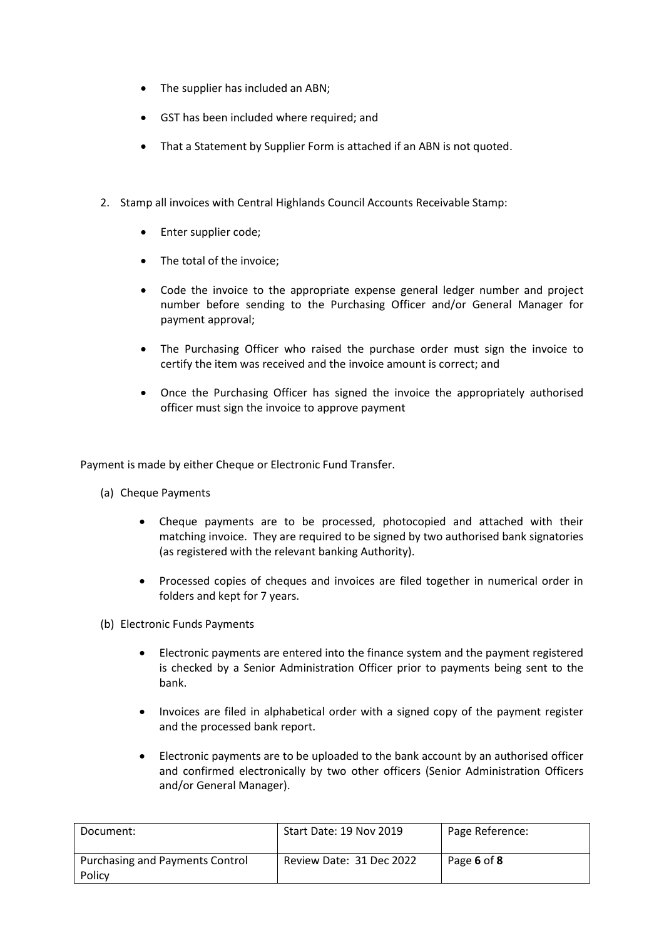- The supplier has included an ABN;
- GST has been included where required; and
- That a Statement by Supplier Form is attached if an ABN is not quoted.
- 2. Stamp all invoices with Central Highlands Council Accounts Receivable Stamp:
	- Enter supplier code;
	- The total of the invoice;
	- Code the invoice to the appropriate expense general ledger number and project number before sending to the Purchasing Officer and/or General Manager for payment approval;
	- The Purchasing Officer who raised the purchase order must sign the invoice to certify the item was received and the invoice amount is correct; and
	- Once the Purchasing Officer has signed the invoice the appropriately authorised officer must sign the invoice to approve payment

Payment is made by either Cheque or Electronic Fund Transfer.

- (a) Cheque Payments
	- Cheque payments are to be processed, photocopied and attached with their matching invoice. They are required to be signed by two authorised bank signatories (as registered with the relevant banking Authority).
	- Processed copies of cheques and invoices are filed together in numerical order in folders and kept for 7 years.
- (b) Electronic Funds Payments
	- Electronic payments are entered into the finance system and the payment registered is checked by a Senior Administration Officer prior to payments being sent to the bank.
	- Invoices are filed in alphabetical order with a signed copy of the payment register and the processed bank report.
	- Electronic payments are to be uploaded to the bank account by an authorised officer and confirmed electronically by two other officers (Senior Administration Officers and/or General Manager).

| Document:                                 | Start Date: 19 Nov 2019  | Page Reference: |
|-------------------------------------------|--------------------------|-----------------|
| Purchasing and Payments Control<br>Policy | Review Date: 31 Dec 2022 | Page 6 of 8     |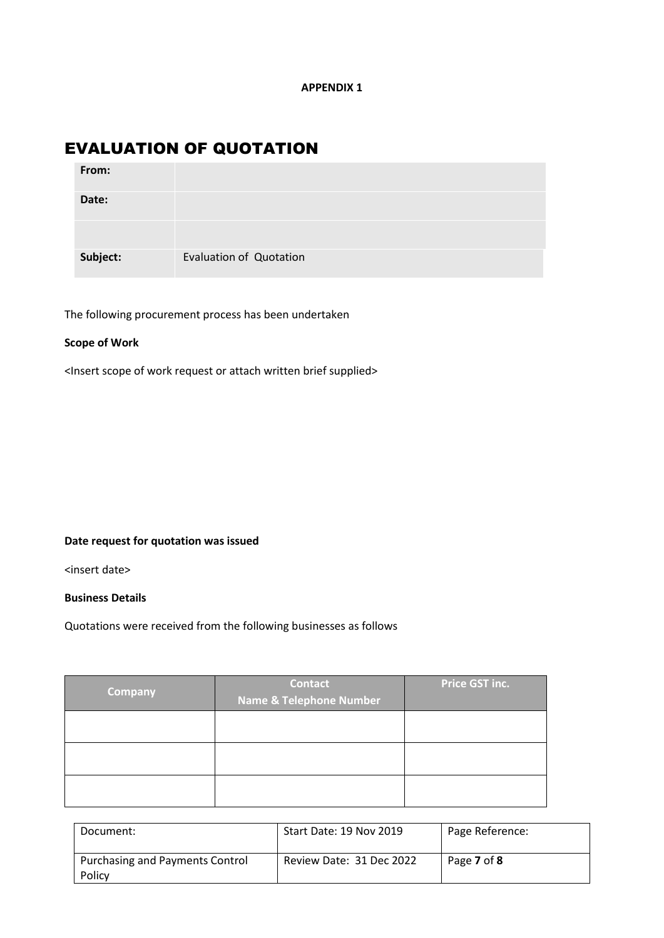### EVALUATION OF QUOTATION

| From:    |                                |
|----------|--------------------------------|
| Date:    |                                |
|          |                                |
| Subject: | <b>Evaluation of Quotation</b> |

The following procurement process has been undertaken

#### **Scope of Work**

<Insert scope of work request or attach written brief supplied>

#### **Date request for quotation was issued**

<insert date>

#### **Business Details**

Quotations were received from the following businesses as follows

| <b>Company</b> | <b>Contact</b><br><b>Name &amp; Telephone Number</b> | Price GST inc. |
|----------------|------------------------------------------------------|----------------|
|                |                                                      |                |
|                |                                                      |                |
|                |                                                      |                |

| Document:                                        | Start Date: 19 Nov 2019  | Page Reference: |
|--------------------------------------------------|--------------------------|-----------------|
| <b>Purchasing and Payments Control</b><br>Policy | Review Date: 31 Dec 2022 | Page 7 of 8     |